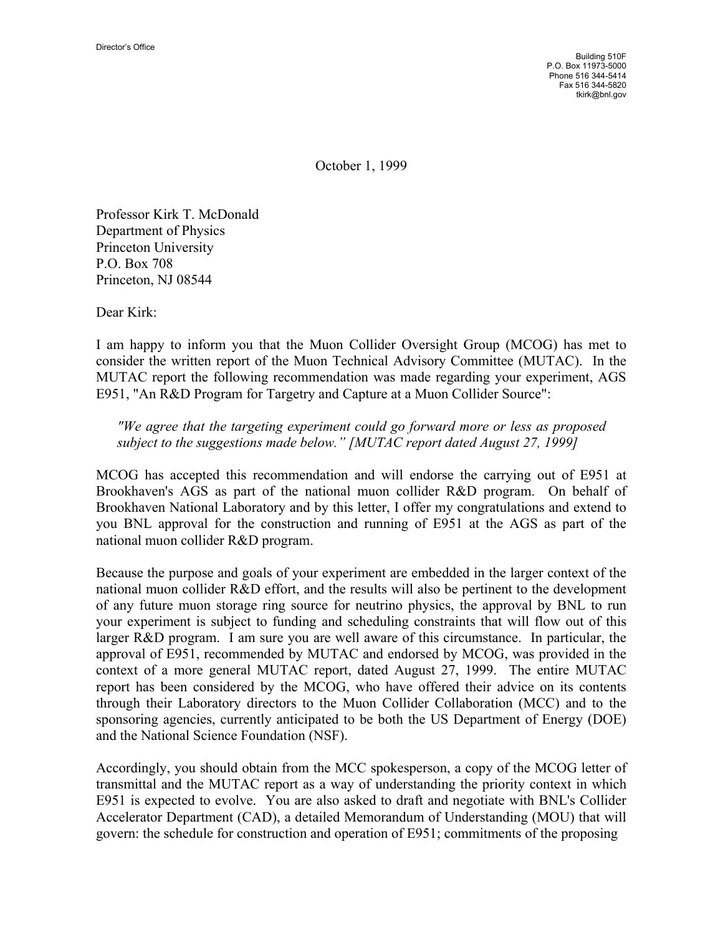Building 510F P.O. Box 11973-5000 Phone 516 344-5414 Fax 516 344-5820 tkirk@bnl.gov

October 1, 1999

Professor Kirk T. McDonald Department of Physics Princeton University P.O. Box 708 Princeton, NJ 08544

Dear Kirk:

I am happy to inform you that the Muon Collider Oversight Group (MCOG) has met to consider the written report of the Muon Technical Advisory Committee (MUTAC). In the MUTAC report the following recommendation was made regarding your experiment, AGS E951, "An R&D Program for Targetry and Capture at a Muon Collider Source":

## *"We agree that the targeting experiment could go forward more or less as proposed subject to the suggestions made below." [MUTAC report dated August 27, 1999]*

MCOG has accepted this recommendation and will endorse the carrying out of E951 at Brookhaven's AGS as part of the national muon collider R&D program. On behalf of Brookhaven National Laboratory and by this letter, I offer my congratulations and extend to you BNL approval for the construction and running of E951 at the AGS as part of the national muon collider R&D program.

Because the purpose and goals of your experiment are embedded in the larger context of the national muon collider R&D effort, and the results will also be pertinent to the development of any future muon storage ring source for neutrino physics, the approval by BNL to run your experiment is subject to funding and scheduling constraints that will flow out of this larger R&D program. I am sure you are well aware of this circumstance. In particular, the approval of E951, recommended by MUTAC and endorsed by MCOG, was provided in the context of a more general MUTAC report, dated August 27, 1999. The entire MUTAC report has been considered by the MCOG, who have offered their advice on its contents through their Laboratory directors to the Muon Collider Collaboration (MCC) and to the sponsoring agencies, currently anticipated to be both the US Department of Energy (DOE) and the National Science Foundation (NSF).

Accordingly, you should obtain from the MCC spokesperson, a copy of the MCOG letter of transmittal and the MUTAC report as a way of understanding the priority context in which E951 is expected to evolve. You are also asked to draft and negotiate with BNL's Collider Accelerator Department (CAD), a detailed Memorandum of Understanding (MOU) that will govern: the schedule for construction and operation of E951; commitments of the proposing